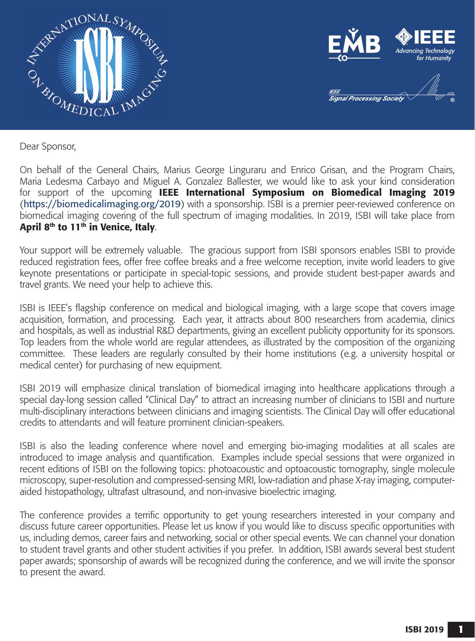



Dear Sponsor,

On behalf of the General Chairs, Marius George Linguraru and Enrico Grisan, and the Program Chairs, Maria Ledesma Carbayo and Miguel A. Gonzalez Ballester, we would like to ask your kind consideration for support of the upcoming IEEE International Symposium on Biomedical Imaging 2019 (https://biomedicalimaging.org/2019) with a sponsorship. ISBI is a premier peer-reviewed conference on biomedical imaging covering of the full spectrum of imaging modalities. In 2019, ISBI will take place from April 8<sup>th</sup> to  $11^{th}$  in Venice, Italy.

Your support will be extremely valuable. The gracious support from ISBI sponsors enables ISBI to provide reduced registration fees, offer free coffee breaks and a free welcome reception, invite world leaders to give keynote presentations or participate in special-topic sessions, and provide student best-paper awards and travel grants. We need your help to achieve this.

ISBI is IEEE's flagship conference on medical and biological imaging, with a large scope that covers image acquisition, formation, and processing. Each year, it attracts about 800 researchers from academia, clinics and hospitals, as well as industrial R&D departments, giving an excellent publicity opportunity for its sponsors. Top leaders from the whole world are regular attendees, as illustrated by the composition of the organizing committee. These leaders are regularly consulted by their home institutions (e.g. a university hospital or medical center) for purchasing of new equipment.

ISBI 2019 will emphasize clinical translation of biomedical imaging into healthcare applications through a special day-long session called "Clinical Day" to attract an increasing number of clinicians to ISBI and nurture multi-disciplinary interactions between clinicians and imaging scientists. The Clinical Day will offer educational credits to attendants and will feature prominent clinician-speakers.

ISBI is also the leading conference where novel and emerging bio-imaging modalities at all scales are introduced to image analysis and quantification. Examples include special sessions that were organized in recent editions of ISBI on the following topics: photoacoustic and optoacoustic tomography, single molecule microscopy, super-resolution and compressed-sensing MRI, low-radiation and phase X-ray imaging, computeraided histopathology, ultrafast ultrasound, and non-invasive bioelectric imaging.

The conference provides a terrific opportunity to get young researchers interested in your company and discuss future career opportunities. Please let us know if you would like to discuss specific opportunities with us, including demos, career fairs and networking, social or other special events. We can channel your donation to student travel grants and other student activities if you prefer. In addition, ISBI awards several best student paper awards; sponsorship of awards will be recognized during the conference, and we will invite the sponsor to present the award.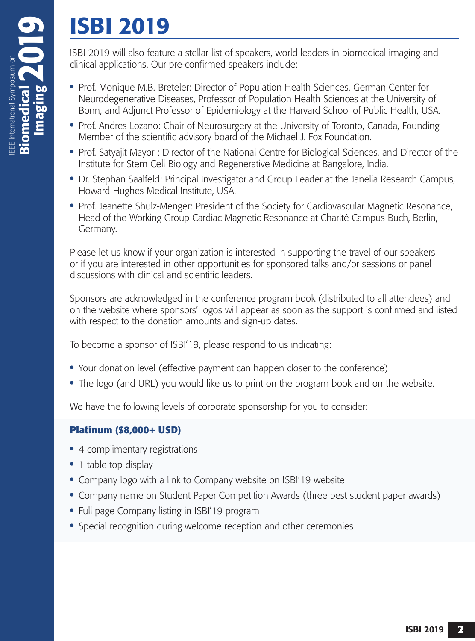# ISBI 2019

ISBI 2019 will also feature a stellar list of speakers, world leaders in biomedical imaging and clinical applications. Our pre-confirmed speakers include:

- **•** Prof. Monique M.B. Breteler: Director of Population Health Sciences, German Center for Neurodegenerative Diseases, Professor of Population Health Sciences at the University of Bonn, and Adjunct Professor of Epidemiology at the Harvard School of Public Health, USA.
- **•** Prof. Andres Lozano: Chair of Neurosurgery at the University of Toronto, Canada, Founding Member of the scientific advisory board of the Michael J. Fox Foundation.
- **•** Prof. Satyajit Mayor : Director of the National Centre for Biological Sciences, and Director of the Institute for Stem Cell Biology and Regenerative Medicine at Bangalore, India.
- **•** Dr. Stephan Saalfeld: Principal Investigator and Group Leader at the Janelia Research Campus, Howard Hughes Medical Institute, USA.
- **•** Prof. Jeanette Shulz-Menger: President of the Society for Cardiovascular Magnetic Resonance, Head of the Working Group Cardiac Magnetic Resonance at Charité Campus Buch, Berlin, Germany.

Please let us know if your organization is interested in supporting the travel of our speakers or if you are interested in other opportunities for sponsored talks and/or sessions or panel discussions with clinical and scientific leaders.

Sponsors are acknowledged in the conference program book (distributed to all attendees) and on the website where sponsors' logos will appear as soon as the support is confirmed and listed with respect to the donation amounts and sign-up dates.

To become a sponsor of ISBI'19, please respond to us indicating:

- **•** Your donation level (effective payment can happen closer to the conference)
- **•** The logo (and URL) you would like us to print on the program book and on the website.

We have the following levels of corporate sponsorship for you to consider:

## **Platinum (\$8,000+ USD)**

- **•** 4 complimentary registrations
- 1 table top display
- **•** Company logo with a link to Company website on ISBI'19 website
- **•** Company name on Student Paper Competition Awards (three best student paper awards)
- **•** Full page Company listing in ISBI'19 program
- **•** Special recognition during welcome reception and other ceremonies